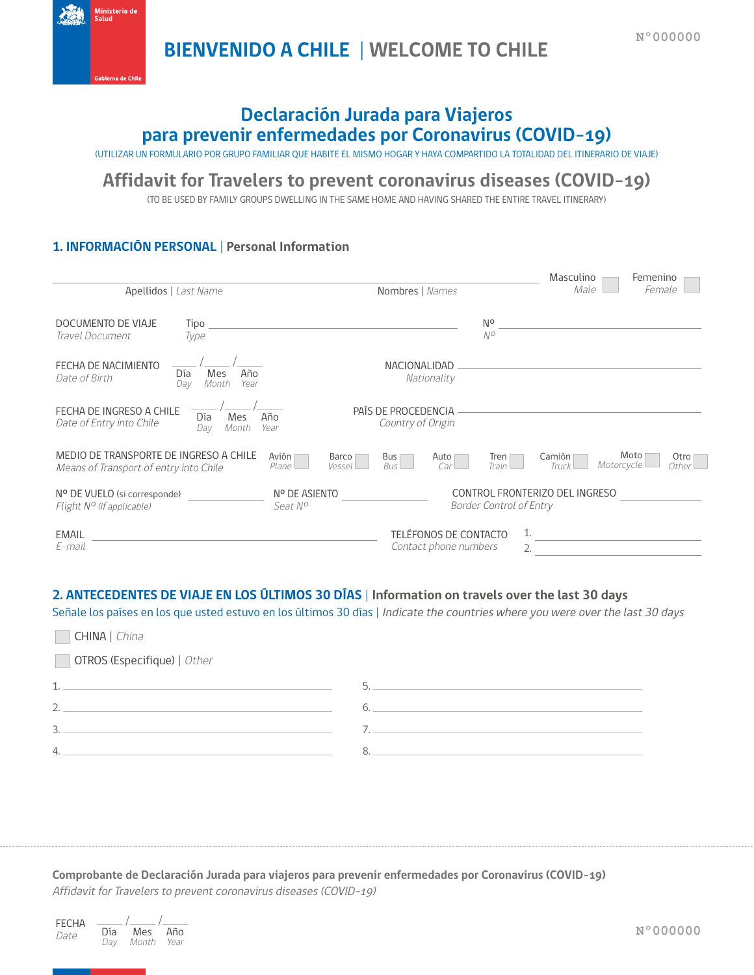**BIENVENIDO A CHILE | WELCOME TO CHILE**



# **Declaración Jurada para Viajeros para prevenir enfermedades por Coronavirus (COVID-19)**

(UTILIZAR UN FORMULARIO POR GRUPO FAMILIAR QUE HABITE EL MISMO HOGAR Y HAYA COMPARTIDO LA TOTALIDAD DEL ITINERARIO DE VIAJE)

## **Affidavit for Travelers to prevent coronavirus diseases (COVID-19)**

(TO BE USED BY FAMILY GROUPS DWELLING IN THE SAME HOME AND HAVING SHARED THE ENTIRE TRAVEL ITINERARY)

### **1. INFORMACIÓN PERSONAL | Personal Information**

| Apellidos   Last Name                                                                                     | Nombres   Names                                | Masculino<br>Femenino<br>Male<br>Female                                                        |  |
|-----------------------------------------------------------------------------------------------------------|------------------------------------------------|------------------------------------------------------------------------------------------------|--|
| DOCUMENTO DE VIAJE<br>Tipo<br>Travel Document<br>Type                                                     |                                                | No<br>$N^{\circ}$                                                                              |  |
| FECHA DE NACIMIENTO<br>Mes<br>Año<br>Día<br>Date of Birth<br>Month<br>Year<br>Dav                         | <b>NACIONALIDAD</b><br>Nationality             |                                                                                                |  |
| FECHA DE INGRESO A CHILE<br>Año<br>Día<br>Mes<br>Date of Entry into Chile<br>Month<br>Year<br>Dav         | PAÍS DE PROCEDENCIA<br>Country of Origin       |                                                                                                |  |
| MEDIO DE TRANSPORTE DE INGRESO A CHILE<br>Avión<br><b>Plane</b><br>Means of Transport of entry into Chile | Barco<br>Bus<br>Auto<br>Bus l<br>Vessel<br>Car | Moto<br>Otro<br>Camión<br>Tren $\vert$<br>Motorcycle<br>Train I<br>Truck <sup>1</sup><br>Other |  |
| Nº DE VUELO (si corresponde)<br>Seat N <sup>o</sup><br>Flight $N^{\circ}$ (if applicable)                 | N° DE ASIENTO                                  | CONTROL FRONTERIZO DEL INGRESO<br><b>Border Control of Entry</b>                               |  |
| <b>EMAIL</b><br>E-mail                                                                                    | TELÉFONOS DE CONTACTO<br>Contact phone numbers | 1.<br>2.                                                                                       |  |

### **2. ANTECEDENTES DE VIAJE EN LOS ÚLTIMOS 30 DÍAS | Information on travels over the last 30 days**

Señale los países en los que usted estuvo en los últimos 30 días | Indicate the countries where you were over the last 30 days

| CHINA   China                                                                                   |    |  |  |
|-------------------------------------------------------------------------------------------------|----|--|--|
| OTROS (Especifique)   Other                                                                     |    |  |  |
| 1.                                                                                              |    |  |  |
| 2.<br>the control of the control of the control of the control of the control of the control of | 6. |  |  |
| 3.                                                                                              |    |  |  |
| 4.                                                                                              |    |  |  |

**Comprobante de Declaración Jurada para viajeros para prevenir enfermedades por Coronavirus (COVID-19)** Affidavit for Travelers to prevent coronavirus diseases (COVID-19)

| <b>FFCHA</b> |     |       |      |
|--------------|-----|-------|------|
| Date         | Día | Mes   | Año  |
|              | Dav | Month | Year |